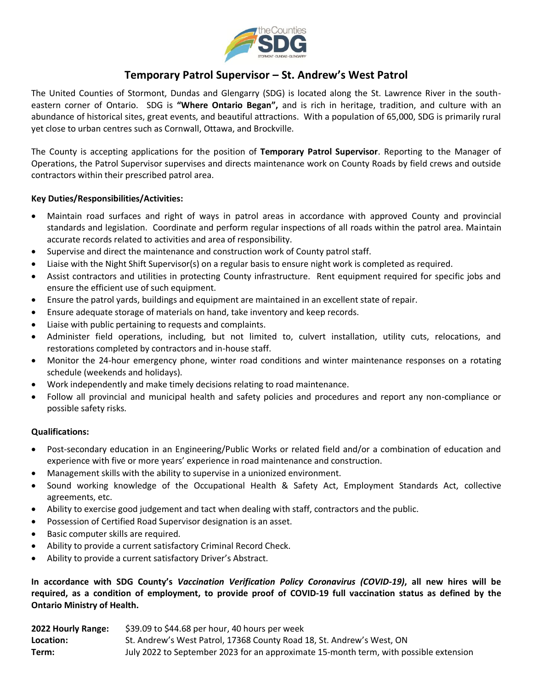

## **Temporary Patrol Supervisor – St. Andrew's West Patrol**

The United Counties of Stormont, Dundas and Glengarry (SDG) is located along the St. Lawrence River in the southeastern corner of Ontario. SDG is **"Where Ontario Began",** and is rich in heritage, tradition, and culture with an abundance of historical sites, great events, and beautiful attractions. With a population of 65,000, SDG is primarily rural yet close to urban centres such as Cornwall, Ottawa, and Brockville.

The County is accepting applications for the position of **Temporary Patrol Supervisor**. Reporting to the Manager of Operations, the Patrol Supervisor supervises and directs maintenance work on County Roads by field crews and outside contractors within their prescribed patrol area.

## **Key Duties/Responsibilities/Activities:**

- Maintain road surfaces and right of ways in patrol areas in accordance with approved County and provincial standards and legislation. Coordinate and perform regular inspections of all roads within the patrol area. Maintain accurate records related to activities and area of responsibility.
- Supervise and direct the maintenance and construction work of County patrol staff.
- Liaise with the Night Shift Supervisor(s) on a regular basis to ensure night work is completed as required.
- Assist contractors and utilities in protecting County infrastructure. Rent equipment required for specific jobs and ensure the efficient use of such equipment.
- Ensure the patrol yards, buildings and equipment are maintained in an excellent state of repair.
- Ensure adequate storage of materials on hand, take inventory and keep records.
- Liaise with public pertaining to requests and complaints.
- Administer field operations, including, but not limited to, culvert installation, utility cuts, relocations, and restorations completed by contractors and in-house staff.
- Monitor the 24-hour emergency phone, winter road conditions and winter maintenance responses on a rotating schedule (weekends and holidays).
- Work independently and make timely decisions relating to road maintenance.
- Follow all provincial and municipal health and safety policies and procedures and report any non-compliance or possible safety risks.

## **Qualifications:**

- Post-secondary education in an Engineering/Public Works or related field and/or a combination of education and experience with five or more years' experience in road maintenance and construction.
- Management skills with the ability to supervise in a unionized environment.
- Sound working knowledge of the Occupational Health & Safety Act, Employment Standards Act, collective agreements, etc.
- Ability to exercise good judgement and tact when dealing with staff, contractors and the public.
- Possession of Certified Road Supervisor designation is an asset.
- Basic computer skills are required.
- Ability to provide a current satisfactory Criminal Record Check.
- Ability to provide a current satisfactory Driver's Abstract.

**In accordance with SDG County's** *Vaccination Verification Policy Coronavirus (COVID-19)***, all new hires will be required, as a condition of employment, to provide proof of COVID-19 full vaccination status as defined by the Ontario Ministry of Health.**

| 2022 Hourly Range: | \$39.09 to \$44.68 per hour, 40 hours per week                                        |
|--------------------|---------------------------------------------------------------------------------------|
| Location:          | St. Andrew's West Patrol, 17368 County Road 18, St. Andrew's West, ON                 |
| Term:              | July 2022 to September 2023 for an approximate 15-month term, with possible extension |